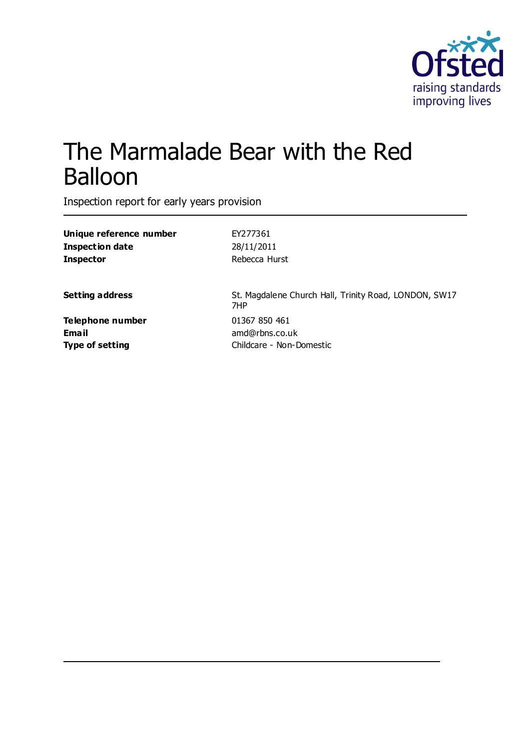

# The Marmalade Bear with the Red Balloon

Inspection report for early years provision

| Unique reference number | EY277361                                                     |
|-------------------------|--------------------------------------------------------------|
| <b>Inspection date</b>  | 28/11/2011                                                   |
| <b>Inspector</b>        | Rebecca Hurst                                                |
| <b>Setting address</b>  | St. Magdalene Church Hall, Trinity Road, LONDON, SW17<br>7HP |
| Telephone number        | 01367 850 461                                                |
| Email                   | amd@rbns.co.uk                                               |
| <b>Type of setting</b>  | Childcare - Non-Domestic                                     |
|                         |                                                              |
|                         |                                                              |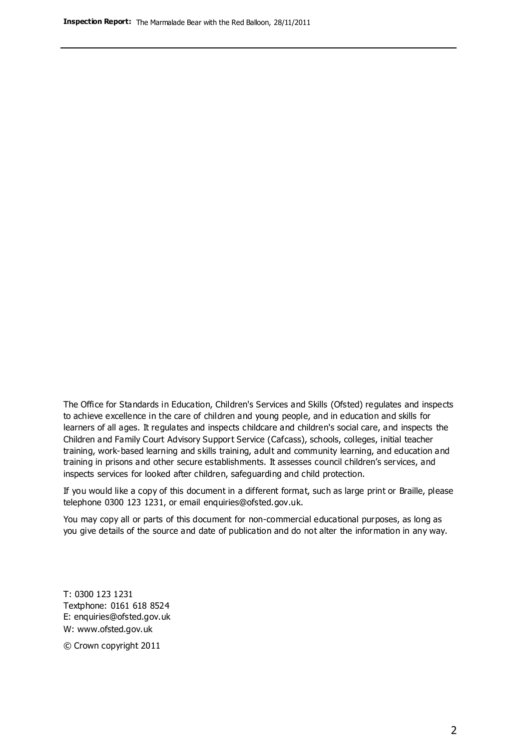The Office for Standards in Education, Children's Services and Skills (Ofsted) regulates and inspects to achieve excellence in the care of children and young people, and in education and skills for learners of all ages. It regulates and inspects childcare and children's social care, and inspects the Children and Family Court Advisory Support Service (Cafcass), schools, colleges, initial teacher training, work-based learning and skills training, adult and community learning, and education and training in prisons and other secure establishments. It assesses council children's services, and inspects services for looked after children, safeguarding and child protection.

If you would like a copy of this document in a different format, such as large print or Braille, please telephone 0300 123 1231, or email enquiries@ofsted.gov.uk.

You may copy all or parts of this document for non-commercial educational purposes, as long as you give details of the source and date of publication and do not alter the information in any way.

T: 0300 123 1231 Textphone: 0161 618 8524 E: enquiries@ofsted.gov.uk W: [www.ofsted.gov.uk](http://www.ofsted.gov.uk/)

© Crown copyright 2011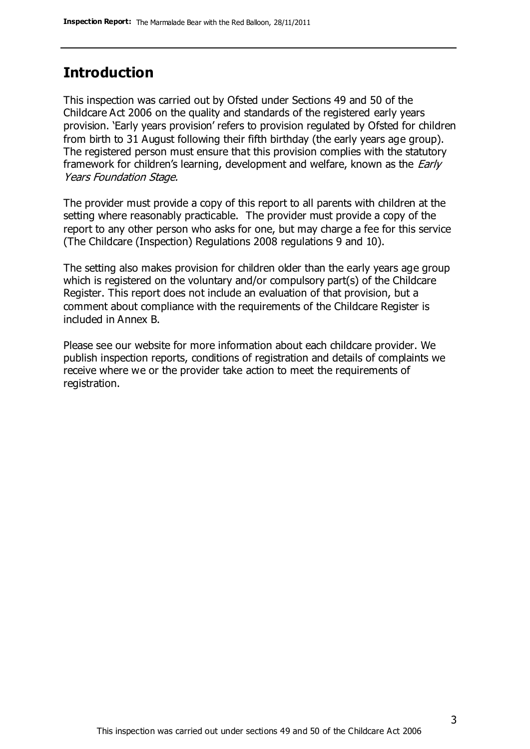### **Introduction**

This inspection was carried out by Ofsted under Sections 49 and 50 of the Childcare Act 2006 on the quality and standards of the registered early years provision. 'Early years provision' refers to provision regulated by Ofsted for children from birth to 31 August following their fifth birthday (the early years age group). The registered person must ensure that this provision complies with the statutory framework for children's learning, development and welfare, known as the *Early* Years Foundation Stage.

The provider must provide a copy of this report to all parents with children at the setting where reasonably practicable. The provider must provide a copy of the report to any other person who asks for one, but may charge a fee for this service (The Childcare (Inspection) Regulations 2008 regulations 9 and 10).

The setting also makes provision for children older than the early years age group which is registered on the voluntary and/or compulsory part(s) of the Childcare Register. This report does not include an evaluation of that provision, but a comment about compliance with the requirements of the Childcare Register is included in Annex B.

Please see our website for more information about each childcare provider. We publish inspection reports, conditions of registration and details of complaints we receive where we or the provider take action to meet the requirements of registration.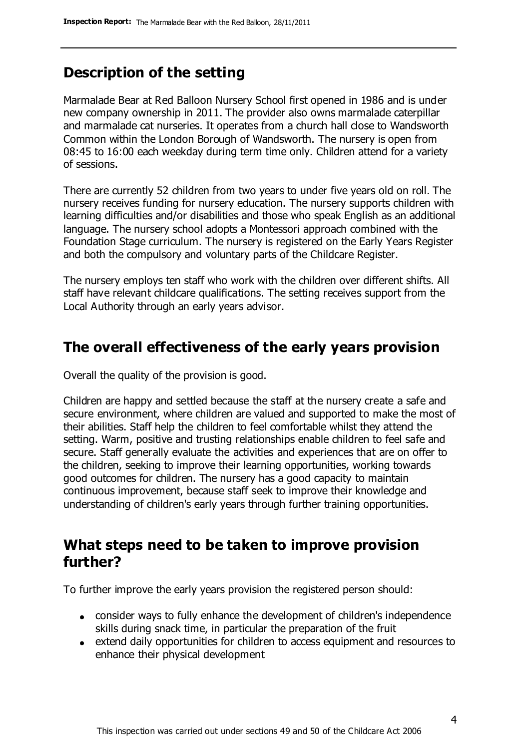## **Description of the setting**

Marmalade Bear at Red Balloon Nursery School first opened in 1986 and is under new company ownership in 2011. The provider also owns marmalade caterpillar and marmalade cat nurseries. It operates from a church hall close to Wandsworth Common within the London Borough of Wandsworth. The nursery is open from 08:45 to 16:00 each weekday during term time only. Children attend for a variety of sessions.

There are currently 52 children from two years to under five years old on roll. The nursery receives funding for nursery education. The nursery supports children with learning difficulties and/or disabilities and those who speak English as an additional language. The nursery school adopts a Montessori approach combined with the Foundation Stage curriculum. The nursery is registered on the Early Years Register and both the compulsory and voluntary parts of the Childcare Register.

The nursery employs ten staff who work with the children over different shifts. All staff have relevant childcare qualifications. The setting receives support from the Local Authority through an early years advisor.

#### **The overall effectiveness of the early years provision**

Overall the quality of the provision is good.

Children are happy and settled because the staff at the nursery create a safe and secure environment, where children are valued and supported to make the most of their abilities. Staff help the children to feel comfortable whilst they attend the setting. Warm, positive and trusting relationships enable children to feel safe and secure. Staff generally evaluate the activities and experiences that are on offer to the children, seeking to improve their learning opportunities, working towards good outcomes for children. The nursery has a good capacity to maintain continuous improvement, because staff seek to improve their knowledge and understanding of children's early years through further training opportunities.

### **What steps need to be taken to improve provision further?**

To further improve the early years provision the registered person should:

- consider ways to fully enhance the development of children's independence skills during snack time, in particular the preparation of the fruit
- extend daily opportunities for children to access equipment and resources to enhance their physical development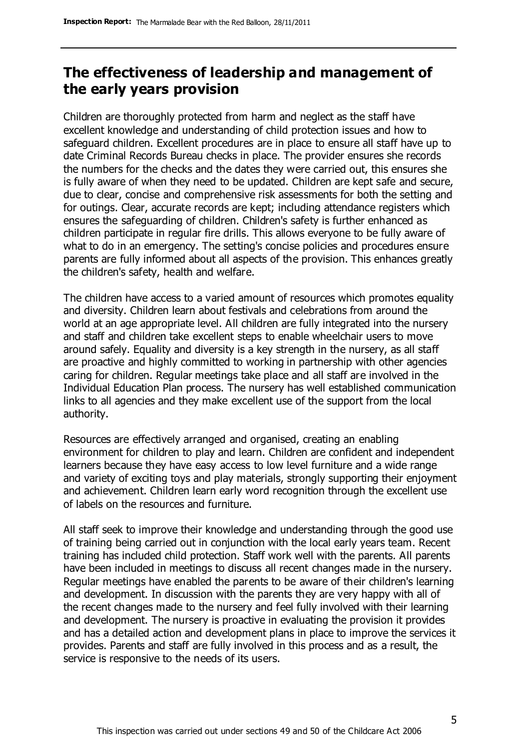# **The effectiveness of leadership and management of the early years provision**

Children are thoroughly protected from harm and neglect as the staff have excellent knowledge and understanding of child protection issues and how to safeguard children. Excellent procedures are in place to ensure all staff have up to date Criminal Records Bureau checks in place. The provider ensures she records the numbers for the checks and the dates they were carried out, this ensures she is fully aware of when they need to be updated. Children are kept safe and secure, due to clear, concise and comprehensive risk assessments for both the setting and for outings. Clear, accurate records are kept; including attendance registers which ensures the safeguarding of children. Children's safety is further enhanced as children participate in regular fire drills. This allows everyone to be fully aware of what to do in an emergency. The setting's concise policies and procedures ensure parents are fully informed about all aspects of the provision. This enhances greatly the children's safety, health and welfare.

The children have access to a varied amount of resources which promotes equality and diversity. Children learn about festivals and celebrations from around the world at an age appropriate level. All children are fully integrated into the nursery and staff and children take excellent steps to enable wheelchair users to move around safely. Equality and diversity is a key strength in the nursery, as all staff are proactive and highly committed to working in partnership with other agencies caring for children. Regular meetings take place and all staff are involved in the Individual Education Plan process. The nursery has well established communication links to all agencies and they make excellent use of the support from the local authority.

Resources are effectively arranged and organised, creating an enabling environment for children to play and learn. Children are confident and independent learners because they have easy access to low level furniture and a wide range and variety of exciting toys and play materials, strongly supporting their enjoyment and achievement. Children learn early word recognition through the excellent use of labels on the resources and furniture.

All staff seek to improve their knowledge and understanding through the good use of training being carried out in conjunction with the local early years team. Recent training has included child protection. Staff work well with the parents. All parents have been included in meetings to discuss all recent changes made in the nursery. Regular meetings have enabled the parents to be aware of their children's learning and development. In discussion with the parents they are very happy with all of the recent changes made to the nursery and feel fully involved with their learning and development. The nursery is proactive in evaluating the provision it provides and has a detailed action and development plans in place to improve the services it provides. Parents and staff are fully involved in this process and as a result, the service is responsive to the needs of its users.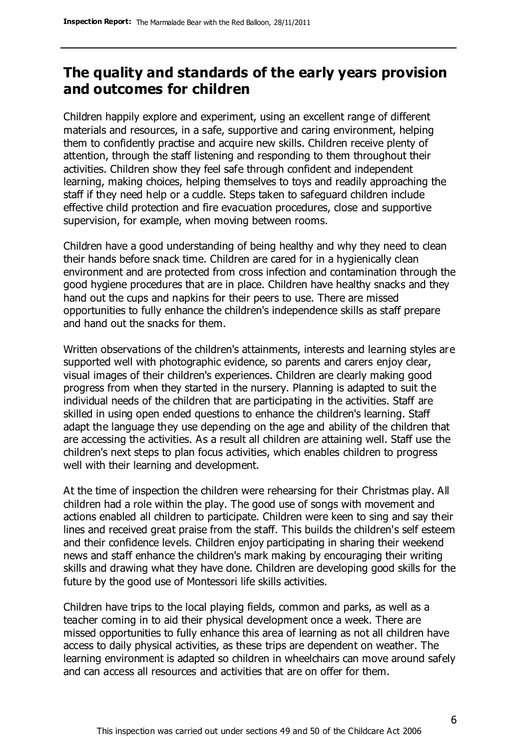# **The quality and standards of the early years provision and outcomes for children**

Children happily explore and experiment, using an excellent range of different materials and resources, in a safe, supportive and caring environment, helping them to confidently practise and acquire new skills. Children receive plenty of attention, through the staff listening and responding to them throughout their activities. Children show they feel safe through confident and independent learning, making choices, helping themselves to toys and readily approaching the staff if they need help or a cuddle. Steps taken to safeguard children include effective child protection and fire evacuation procedures, close and supportive supervision, for example, when moving between rooms.

Children have a good understanding of being healthy and why they need to clean their hands before snack time. Children are cared for in a hygienically clean environment and are protected from cross infection and contamination through the good hygiene procedures that are in place. Children have healthy snacks and they hand out the cups and napkins for their peers to use. There are missed opportunities to fully enhance the children's independence skills as staff prepare and hand out the snacks for them.

Written observations of the children's attainments, interests and learning styles are supported well with photographic evidence, so parents and carers enjoy clear, visual images of their children's experiences. Children are clearly making good progress from when they started in the nursery. Planning is adapted to suit the individual needs of the children that are participating in the activities. Staff are skilled in using open ended questions to enhance the children's learning. Staff adapt the language they use depending on the age and ability of the children that are accessing the activities. As a result all children are attaining well. Staff use the children's next steps to plan focus activities, which enables children to progress well with their learning and development.

At the time of inspection the children were rehearsing for their Christmas play. All children had a role within the play. The good use of songs with movement and actions enabled all children to participate. Children were keen to sing and say their lines and received great praise from the staff. This builds the children's self esteem and their confidence levels. Children enjoy participating in sharing their weekend news and staff enhance the children's mark making by encouraging their writing skills and drawing what they have done. Children are developing good skills for the future by the good use of Montessori life skills activities.

Children have trips to the local playing fields, common and parks, as well as a teacher coming in to aid their physical development once a week. There are missed opportunities to fully enhance this area of learning as not all children have access to daily physical activities, as these trips are dependent on weather. The learning environment is adapted so children in wheelchairs can move around safely and can access all resources and activities that are on offer for them.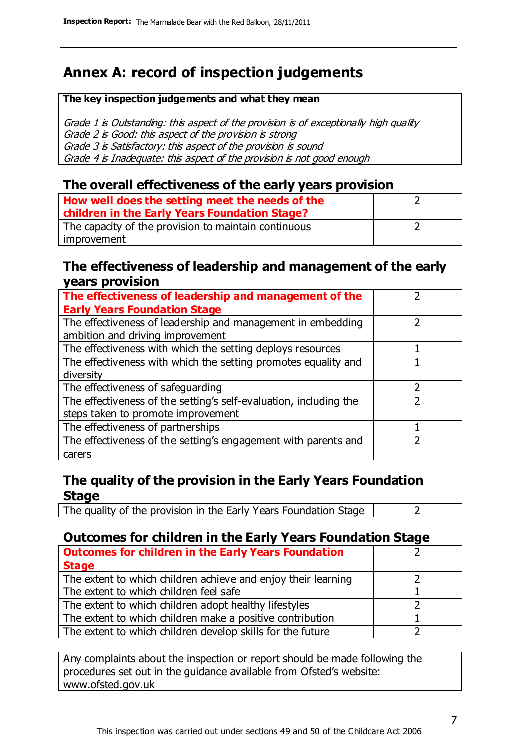# **Annex A: record of inspection judgements**

#### **The key inspection judgements and what they mean**

Grade 1 is Outstanding: this aspect of the provision is of exceptionally high quality Grade 2 is Good: this aspect of the provision is strong Grade 3 is Satisfactory: this aspect of the provision is sound Grade 4 is Inadequate: this aspect of the provision is not good enough

#### **The overall effectiveness of the early years provision**

| How well does the setting meet the needs of the<br>children in the Early Years Foundation Stage? |  |
|--------------------------------------------------------------------------------------------------|--|
| The capacity of the provision to maintain continuous                                             |  |
| improvement                                                                                      |  |

#### **The effectiveness of leadership and management of the early years provision**

| The effectiveness of leadership and management of the             |  |
|-------------------------------------------------------------------|--|
| <b>Early Years Foundation Stage</b>                               |  |
| The effectiveness of leadership and management in embedding       |  |
| ambition and driving improvement                                  |  |
| The effectiveness with which the setting deploys resources        |  |
| The effectiveness with which the setting promotes equality and    |  |
| diversity                                                         |  |
| The effectiveness of safeguarding                                 |  |
| The effectiveness of the setting's self-evaluation, including the |  |
| steps taken to promote improvement                                |  |
| The effectiveness of partnerships                                 |  |
| The effectiveness of the setting's engagement with parents and    |  |
| carers                                                            |  |

#### **The quality of the provision in the Early Years Foundation Stage**

The quality of the provision in the Early Years Foundation Stage  $\vert$  2

#### **Outcomes for children in the Early Years Foundation Stage**

| <b>Outcomes for children in the Early Years Foundation</b>    |  |
|---------------------------------------------------------------|--|
| <b>Stage</b>                                                  |  |
| The extent to which children achieve and enjoy their learning |  |
| The extent to which children feel safe                        |  |
| The extent to which children adopt healthy lifestyles         |  |
| The extent to which children make a positive contribution     |  |
| The extent to which children develop skills for the future    |  |

Any complaints about the inspection or report should be made following the procedures set out in the guidance available from Ofsted's website: www.ofsted.gov.uk